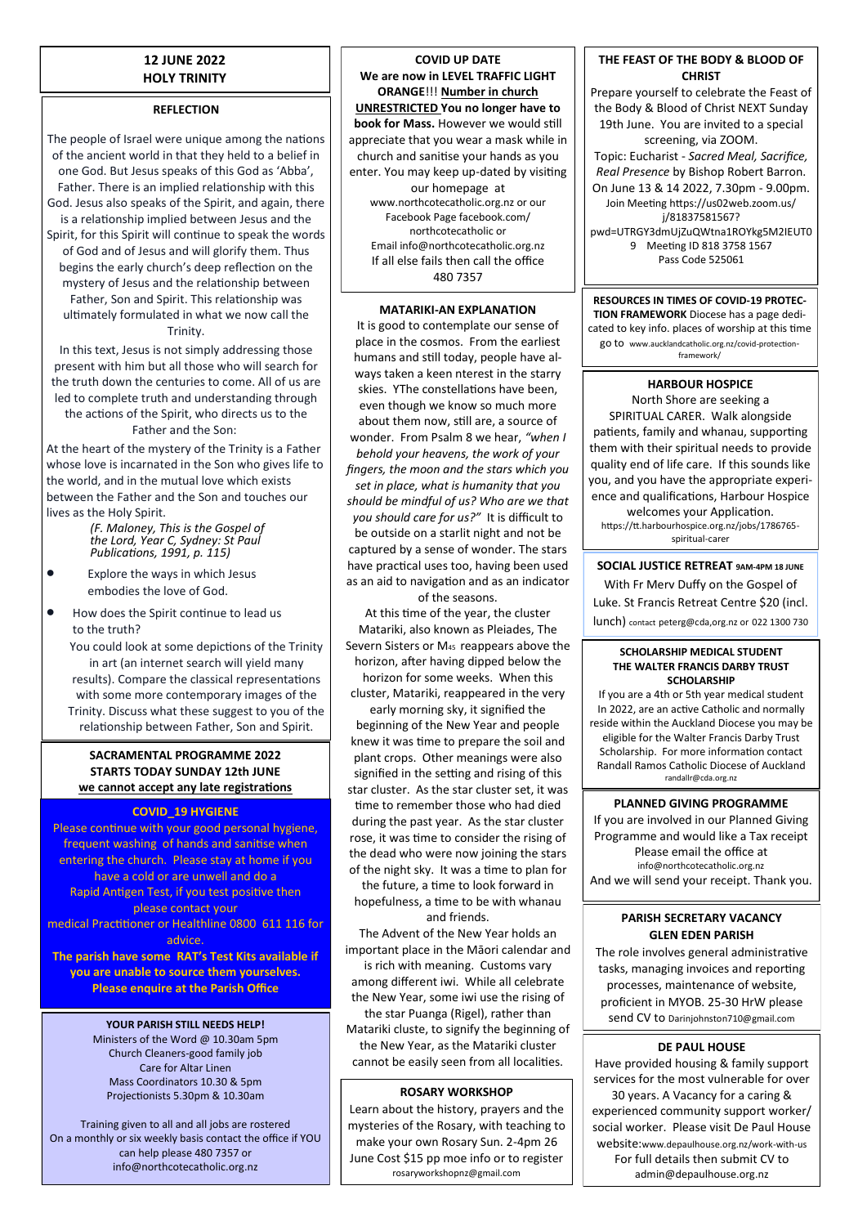## **12 JUNE 2022 HOLY TRINITY**

### **REFLECTION**

The people of Israel were unique among the nations of the ancient world in that they held to a belief in one God. But Jesus speaks of this God as 'Abba', Father. There is an implied relationship with this God. Jesus also speaks of the Spirit, and again, there is a relationship implied between Jesus and the Spirit, for this Spirit will continue to speak the words of God and of Jesus and will glorify them. Thus begins the early church's deep reflection on the mystery of Jesus and the relationship between Father, Son and Spirit. This relationship was ultimately formulated in what we now call the **Trinity** 

In this text, Jesus is not simply addressing those present with him but all those who will search for the truth down the centuries to come. All of us are led to complete truth and understanding through the actions of the Spirit, who directs us to the Father and the Son:

At the heart of the mystery of the Trinity is a Father whose love is incarnated in the Son who gives life to the world, and in the mutual love which exists between the Father and the Son and touches our lives as the Holy Spirit.

*(F. Maloney, This is the Gospel of the Lord, Year C, Sydney: St Paul Publications, 1991, p. 115)*

- Explore the ways in which Jesus embodies the love of God.
- How does the Spirit continue to lead us to the truth?

You could look at some depictions of the Trinity in art (an internet search will yield many results). Compare the classical representations with some more contemporary images of the Trinity. Discuss what these suggest to you of the relationship between Father, Son and Spirit.

### **SACRAMENTAL PROGRAMME 2022 STARTS TODAY SUNDAY 12th JUNE we cannot accept any late registrations**

#### **COVID\_19 HYGIENE**

Please continue with your good personal hygiene, frequent washing of hands and sanitise when entering the church. Please stay at home if you have a cold or are unwell and do a Rapid Antigen Test, if you test positive then please contact your medical Practitioner or Healthline 0800 611 116 for advice.

**The parish have some RAT's Test Kits available if you are unable to source them yourselves. Please enquire at the Parish Office**

### **YOUR PARISH STILL NEEDS HELP!**

Ministers of the Word @ 10.30am 5pm Church Cleaners-good family job Care for Altar Linen Mass Coordinators 10.30 & 5pm Projectionists 5.30pm & 10.30am

Training given to all and all jobs are rostered On a monthly or six weekly basis contact the office if YOU can help please 480 7357 or info@northcotecatholic.org.nz

**COVID UP DATE We are now in LEVEL TRAFFIC LIGHT ORANGE**!!! **Number in church UNRESTRICTED You no longer have to book for Mass.** However we would still appreciate that you wear a mask while in church and sanitise your hands as you enter. You may keep up-dated by visiting our homepage at www.northcotecatholic.org.nz or our Facebook Page facebook.com/ northcotecatholic or Email info@northcotecatholic.org.nz If all else fails then call the office 480 7357

#### **MATARIKI-AN EXPLANATION**

It is good to contemplate our sense of place in the cosmos. From the earliest humans and still today, people have always taken a keen nterest in the starry skies. YThe constellations have been, even though we know so much more about them now, still are, a source of wonder. From Psalm 8 we hear, *"when I behold your heavens, the work of your fingers, the moon and the stars which you set in place, what is humanity that you should be mindful of us? Who are we that you should care for us?"* It is difficult to be outside on a starlit night and not be captured by a sense of wonder. The stars have practical uses too, having been used as an aid to navigation and as an indicator

of the seasons.

At this time of the year, the cluster Matariki, also known as Pleiades, The Severn Sisters or M45 reappears above the horizon, after having dipped below the horizon for some weeks. When this cluster, Matariki, reappeared in the very early morning sky, it signified the beginning of the New Year and people knew it was time to prepare the soil and plant crops. Other meanings were also signified in the setting and rising of this star cluster. As the star cluster set, it was

time to remember those who had died during the past year. As the star cluster rose, it was time to consider the rising of the dead who were now joining the stars

of the night sky. It was a time to plan for the future, a time to look forward in hopefulness, a time to be with whanau and friends.

The Advent of the New Year holds an important place in the Māori calendar and is rich with meaning. Customs vary among different iwi. While all celebrate the New Year, some iwi use the rising of the star Puanga (Rigel), rather than Matariki cluste, to signify the beginning of the New Year, as the Matariki cluster

cannot be easily seen from all localities.

### **ROSARY WORKSHOP**

Learn about the history, prayers and the mysteries of the Rosary, with teaching to make your own Rosary Sun. 2-4pm 26 June Cost \$15 pp moe info or to register rosaryworkshopnz@gmail.com

### **THE FEAST OF THE BODY & BLOOD OF CHRIST**

Prepare yourself to celebrate the Feast of the Body & Blood of Christ NEXT Sunday 19th June. You are invited to a special screening, via ZOOM. Topic: Eucharist - *Sacred Meal, Sacrifice, Real Presence* by Bishop Robert Barron. On June 13 & 14 2022, 7.30pm - 9.00pm. Join Meeting https://us02web.zoom.us/ j/81837581567? pwd=UTRGY3dmUjZuQWtna1ROYkg5M2IEUT0 9 Meeting ID 818 3758 1567 Pass Code 525061

**RESOURCES IN TIMES OF COVID-19 PROTEC-TION FRAMEWORK** Diocese has a page dedicated to key info. places of worship at this time go to www.aucklandcatholic.org.nz/covid-protectionframework/

# **HARBOUR HOSPICE**

North Shore are seeking a SPIRITUAL CARER. Walk alongside patients, family and whanau, supporting them with their spiritual needs to provide quality end of life care. If this sounds like you, and you have the appropriate experience and qualifications, Harbour Hospice welcomes your Application.

https://tt.harbourhospice.org.nz/jobs/1786765 spiritual-carer

**SOCIAL JUSTICE RETREAT 9AM-4PM 18 JUNE** With Fr Merv Duffy on the Gospel of Luke. St Francis Retreat Centre \$20 (incl. lunch) contact peterg@cda,org.nz or 022 1300 730

#### **SCHOLARSHIP MEDICAL STUDENT THE WALTER FRANCIS DARBY TRUST SCHOLARSHIP**

If you are a 4th or 5th year medical student In 2022, are an active Catholic and normally reside within the Auckland Diocese you may be eligible for the Walter Francis Darby Trust Scholarship. For more information contact Randall Ramos Catholic Diocese of Auckland randallr@cda.org.nz

## **PLANNED GIVING PROGRAMME**

If you are involved in our Planned Giving Programme and would like a Tax receipt Please email the office at info@northcotecatholic.org.nz And we will send your receipt. Thank you.

# **PARISH SECRETARY VACANCY GLEN EDEN PARISH**

The role involves general administrative tasks, managing invoices and reporting processes, maintenance of website, proficient in MYOB. 25-30 HrW please send CV to Darinjohnston710@gmail.com

### **DE PAUL HOUSE**

Have provided housing & family support services for the most vulnerable for over 30 years. A Vacancy for a caring & experienced community support worker/ social worker. Please visit De Paul House website:www.depaulhouse.org.nz/work-with-us For full details then submit CV to admin@depaulhouse.org.nz